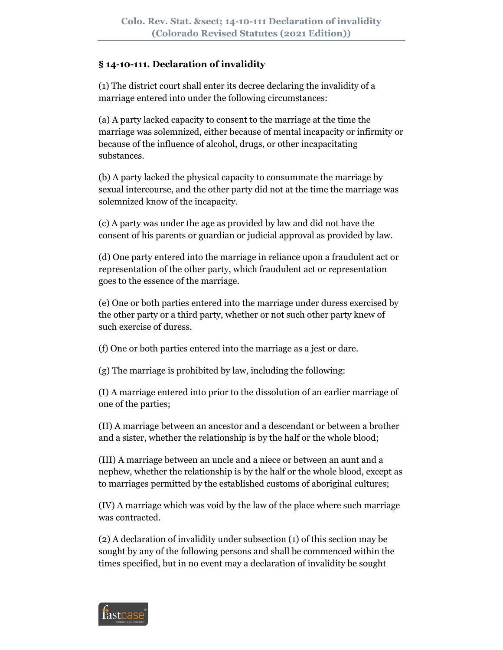### **§ 14-10-111. Declaration of invalidity**

(1) The district court shall enter its decree declaring the invalidity of a marriage entered into under the following circumstances:

(a) A party lacked capacity to consent to the marriage at the time the marriage was solemnized, either because of mental incapacity or infirmity or because of the influence of alcohol, drugs, or other incapacitating substances.

(b) A party lacked the physical capacity to consummate the marriage by sexual intercourse, and the other party did not at the time the marriage was solemnized know of the incapacity.

(c) A party was under the age as provided by law and did not have the consent of his parents or guardian or judicial approval as provided by law.

(d) One party entered into the marriage in reliance upon a fraudulent act or representation of the other party, which fraudulent act or representation goes to the essence of the marriage.

(e) One or both parties entered into the marriage under duress exercised by the other party or a third party, whether or not such other party knew of such exercise of duress.

(f) One or both parties entered into the marriage as a jest or dare.

(g) The marriage is prohibited by law, including the following:

(I) A marriage entered into prior to the dissolution of an earlier marriage of one of the parties;

(II) A marriage between an ancestor and a descendant or between a brother and a sister, whether the relationship is by the half or the whole blood;

(III) A marriage between an uncle and a niece or between an aunt and a nephew, whether the relationship is by the half or the whole blood, except as to marriages permitted by the established customs of aboriginal cultures;

(IV) A marriage which was void by the law of the place where such marriage was contracted.

(2) A declaration of invalidity under subsection (1) of this section may be sought by any of the following persons and shall be commenced within the times specified, but in no event may a declaration of invalidity be sought

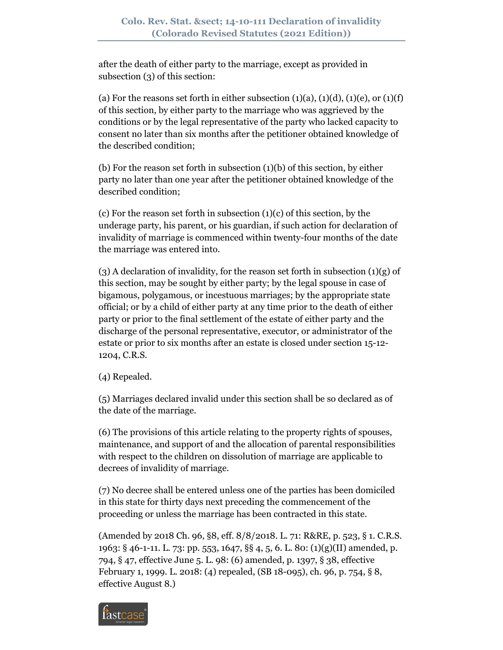after the death of either party to the marriage, except as provided in subsection (3) of this section:

(a) For the reasons set forth in either subsection  $(1)(a)$ ,  $(1)(d)$ ,  $(1)(e)$ , or  $(1)(f)$ of this section, by either party to the marriage who was aggrieved by the conditions or by the legal representative of the party who lacked capacity to consent no later than six months after the petitioner obtained knowledge of the described condition;

(b) For the reason set forth in subsection (1)(b) of this section, by either party no later than one year after the petitioner obtained knowledge of the described condition;

(c) For the reason set forth in subsection  $(1)(c)$  of this section, by the underage party, his parent, or his guardian, if such action for declaration of invalidity of marriage is commenced within twenty-four months of the date the marriage was entered into.

 $(3)$  A declaration of invalidity, for the reason set forth in subsection  $(1)(g)$  of this section, may be sought by either party; by the legal spouse in case of bigamous, polygamous, or incestuous marriages; by the appropriate state official; or by a child of either party at any time prior to the death of either party or prior to the final settlement of the estate of either party and the discharge of the personal representative, executor, or administrator of the estate or prior to six months after an estate is closed under section 15-12- 1204, C.R.S.

(4) Repealed.

(5) Marriages declared invalid under this section shall be so declared as of the date of the marriage.

(6) The provisions of this article relating to the property rights of spouses, maintenance, and support of and the allocation of parental responsibilities with respect to the children on dissolution of marriage are applicable to decrees of invalidity of marriage.

(7) No decree shall be entered unless one of the parties has been domiciled in this state for thirty days next preceding the commencement of the proceeding or unless the marriage has been contracted in this state.

(Amended by 2018 Ch. 96, §8, eff. 8/8/2018. L. 71: R&RE, p. 523, § 1. C.R.S. 1963: § 46-1-11. L. 73: pp. 553, 1647, §§ 4, 5, 6. L. 80: (1)(g)(II) amended, p. 794, § 47, effective June 5. L. 98: (6) amended, p. 1397, § 38, effective February 1, 1999. L. 2018: (4) repealed, (SB 18-095), ch. 96, p. 754, § 8, effective August 8.)

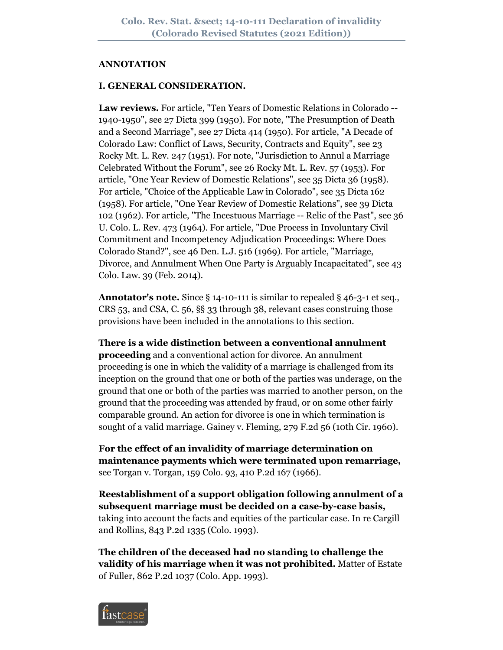#### **ANNOTATION**

### **I. GENERAL CONSIDERATION.**

**Law reviews.** For article, "Ten Years of Domestic Relations in Colorado -- 1940-1950", see 27 Dicta 399 (1950). For note, "The Presumption of Death and a Second Marriage", see 27 Dicta 414 (1950). For article, "A Decade of Colorado Law: Conflict of Laws, Security, Contracts and Equity", see 23 Rocky Mt. L. Rev. 247 (1951). For note, "Jurisdiction to Annul a Marriage Celebrated Without the Forum", see 26 Rocky Mt. L. Rev. 57 (1953). For article, "One Year Review of Domestic Relations", see 35 Dicta 36 (1958). For article, "Choice of the Applicable Law in Colorado", see 35 Dicta 162 (1958). For article, "One Year Review of Domestic Relations", see 39 Dicta 102 (1962). For article, "The Incestuous Marriage -- Relic of the Past", see 36 U. Colo. L. Rev. 473 (1964). For article, "Due Process in Involuntary Civil Commitment and Incompetency Adjudication Proceedings: Where Does Colorado Stand?", see 46 Den. L.J. 516 (1969). For article, "Marriage, Divorce, and Annulment When One Party is Arguably Incapacitated", see 43 Colo. Law. 39 (Feb. 2014).

**Annotator's note.** Since § 14-10-111 is similar to repealed § 46-3-1 et seq., CRS 53, and CSA, C. 56, §§ 33 through 38, relevant cases construing those provisions have been included in the annotations to this section.

**There is a wide distinction between a conventional annulment proceeding** and a conventional action for divorce. An annulment proceeding is one in which the validity of a marriage is challenged from its inception on the ground that one or both of the parties was underage, on the ground that one or both of the parties was married to another person, on the ground that the proceeding was attended by fraud, or on some other fairly comparable ground. An action for divorce is one in which termination is sought of a valid marriage. Gainey v. Fleming, 279 F.2d 56 (10th Cir. 1960).

**For the effect of an invalidity of marriage determination on maintenance payments which were terminated upon remarriage,** see Torgan v. Torgan, 159 Colo. 93, 410 P.2d 167 (1966).

**Reestablishment of a support obligation following annulment of a subsequent marriage must be decided on a case-by-case basis,** taking into account the facts and equities of the particular case. In re Cargill and Rollins, 843 P.2d 1335 (Colo. 1993).

**The children of the deceased had no standing to challenge the validity of his marriage when it was not prohibited.** Matter of Estate of Fuller, 862 P.2d 1037 (Colo. App. 1993).

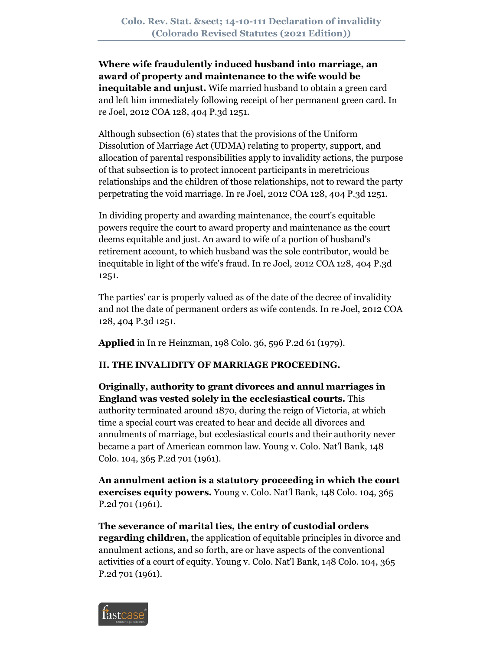**Where wife fraudulently induced husband into marriage, an award of property and maintenance to the wife would be inequitable and unjust.** Wife married husband to obtain a green card and left him immediately following receipt of her permanent green card. In re Joel, 2012 COA 128, 404 P.3d 1251.

Although subsection (6) states that the provisions of the Uniform Dissolution of Marriage Act (UDMA) relating to property, support, and allocation of parental responsibilities apply to invalidity actions, the purpose of that subsection is to protect innocent participants in meretricious relationships and the children of those relationships, not to reward the party perpetrating the void marriage. In re Joel, 2012 COA 128, 404 P.3d 1251.

In dividing property and awarding maintenance, the court's equitable powers require the court to award property and maintenance as the court deems equitable and just. An award to wife of a portion of husband's retirement account, to which husband was the sole contributor, would be inequitable in light of the wife's fraud. In re Joel, 2012 COA 128, 404 P.3d 1251.

The parties' car is properly valued as of the date of the decree of invalidity and not the date of permanent orders as wife contends. In re Joel, 2012 COA 128, 404 P.3d 1251.

**Applied** in In re Heinzman, 198 Colo. 36, 596 P.2d 61 (1979).

# **II. THE INVALIDITY OF MARRIAGE PROCEEDING.**

**Originally, authority to grant divorces and annul marriages in England was vested solely in the ecclesiastical courts.** This authority terminated around 1870, during the reign of Victoria, at which time a special court was created to hear and decide all divorces and annulments of marriage, but ecclesiastical courts and their authority never became a part of American common law. Young v. Colo. Nat'l Bank, 148 Colo. 104, 365 P.2d 701 (1961).

**An annulment action is a statutory proceeding in which the court exercises equity powers.** Young v. Colo. Nat'l Bank, 148 Colo. 104, 365 P.2d 701 (1961).

**The severance of marital ties, the entry of custodial orders regarding children,** the application of equitable principles in divorce and annulment actions, and so forth, are or have aspects of the conventional activities of a court of equity. Young v. Colo. Nat'l Bank, 148 Colo. 104, 365 P.2d 701 (1961).

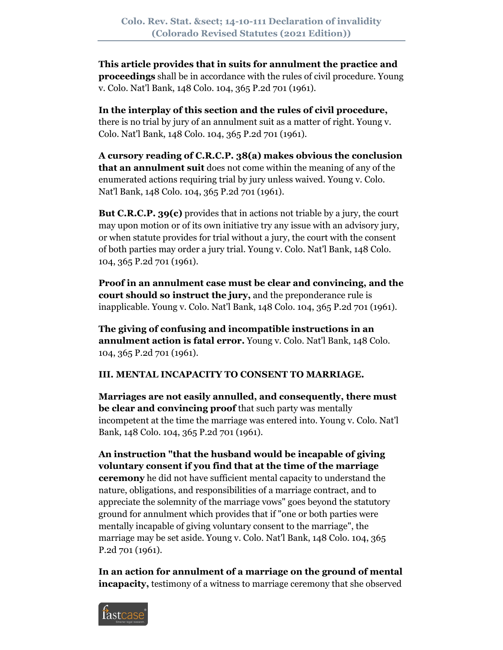**This article provides that in suits for annulment the practice and proceedings** shall be in accordance with the rules of civil procedure. Young v. Colo. Nat'l Bank, 148 Colo. 104, 365 P.2d 701 (1961).

**In the interplay of this section and the rules of civil procedure,** there is no trial by jury of an annulment suit as a matter of right. Young v. Colo. Nat'l Bank, 148 Colo. 104, 365 P.2d 701 (1961).

**A cursory reading of C.R.C.P. 38(a) makes obvious the conclusion that an annulment suit** does not come within the meaning of any of the enumerated actions requiring trial by jury unless waived. Young v. Colo. Nat'l Bank, 148 Colo. 104, 365 P.2d 701 (1961).

**But C.R.C.P. 39(c)** provides that in actions not triable by a jury, the court may upon motion or of its own initiative try any issue with an advisory jury, or when statute provides for trial without a jury, the court with the consent of both parties may order a jury trial. Young v. Colo. Nat'l Bank, 148 Colo. 104, 365 P.2d 701 (1961).

**Proof in an annulment case must be clear and convincing, and the court should so instruct the jury,** and the preponderance rule is inapplicable. Young v. Colo. Nat'l Bank, 148 Colo. 104, 365 P.2d 701 (1961).

**The giving of confusing and incompatible instructions in an annulment action is fatal error.** Young v. Colo. Nat'l Bank, 148 Colo. 104, 365 P.2d 701 (1961).

## **III. MENTAL INCAPACITY TO CONSENT TO MARRIAGE.**

**Marriages are not easily annulled, and consequently, there must be clear and convincing proof** that such party was mentally incompetent at the time the marriage was entered into. Young v. Colo. Nat'l Bank, 148 Colo. 104, 365 P.2d 701 (1961).

## **An instruction "that the husband would be incapable of giving voluntary consent if you find that at the time of the marriage**

**ceremony** he did not have sufficient mental capacity to understand the nature, obligations, and responsibilities of a marriage contract, and to appreciate the solemnity of the marriage vows" goes beyond the statutory ground for annulment which provides that if "one or both parties were mentally incapable of giving voluntary consent to the marriage", the marriage may be set aside. Young v. Colo. Nat'l Bank, 148 Colo. 104, 365 P.2d 701 (1961).

**In an action for annulment of a marriage on the ground of mental incapacity**, testimony of a witness to marriage ceremony that she observed

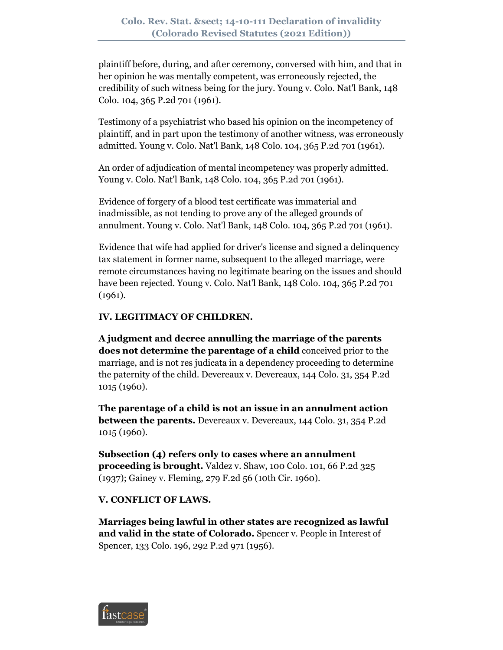plaintiff before, during, and after ceremony, conversed with him, and that in her opinion he was mentally competent, was erroneously rejected, the credibility of such witness being for the jury. Young v. Colo. Nat'l Bank, 148 Colo. 104, 365 P.2d 701 (1961).

Testimony of a psychiatrist who based his opinion on the incompetency of plaintiff, and in part upon the testimony of another witness, was erroneously admitted. Young v. Colo. Nat'l Bank, 148 Colo. 104, 365 P.2d 701 (1961).

An order of adjudication of mental incompetency was properly admitted. Young v. Colo. Nat'l Bank, 148 Colo. 104, 365 P.2d 701 (1961).

Evidence of forgery of a blood test certificate was immaterial and inadmissible, as not tending to prove any of the alleged grounds of annulment. Young v. Colo. Nat'l Bank, 148 Colo. 104, 365 P.2d 701 (1961).

Evidence that wife had applied for driver's license and signed a delinquency tax statement in former name, subsequent to the alleged marriage, were remote circumstances having no legitimate bearing on the issues and should have been rejected. Young v. Colo. Nat'l Bank, 148 Colo. 104, 365 P.2d 701 (1961).

### **IV. LEGITIMACY OF CHILDREN.**

**A judgment and decree annulling the marriage of the parents does not determine the parentage of a child** conceived prior to the marriage, and is not res judicata in a dependency proceeding to determine the paternity of the child. Devereaux v. Devereaux, 144 Colo. 31, 354 P.2d 1015 (1960).

**The parentage of a child is not an issue in an annulment action between the parents.** Devereaux v. Devereaux, 144 Colo. 31, 354 P.2d 1015 (1960).

**Subsection (4) refers only to cases where an annulment proceeding is brought.** Valdez v. Shaw, 100 Colo. 101, 66 P.2d 325 (1937); Gainey v. Fleming, 279 F.2d 56 (10th Cir. 1960).

### **V. CONFLICT OF LAWS.**

**Marriages being lawful in other states are recognized as lawful and valid in the state of Colorado.** Spencer v. People in Interest of Spencer, 133 Colo. 196, 292 P.2d 971 (1956).